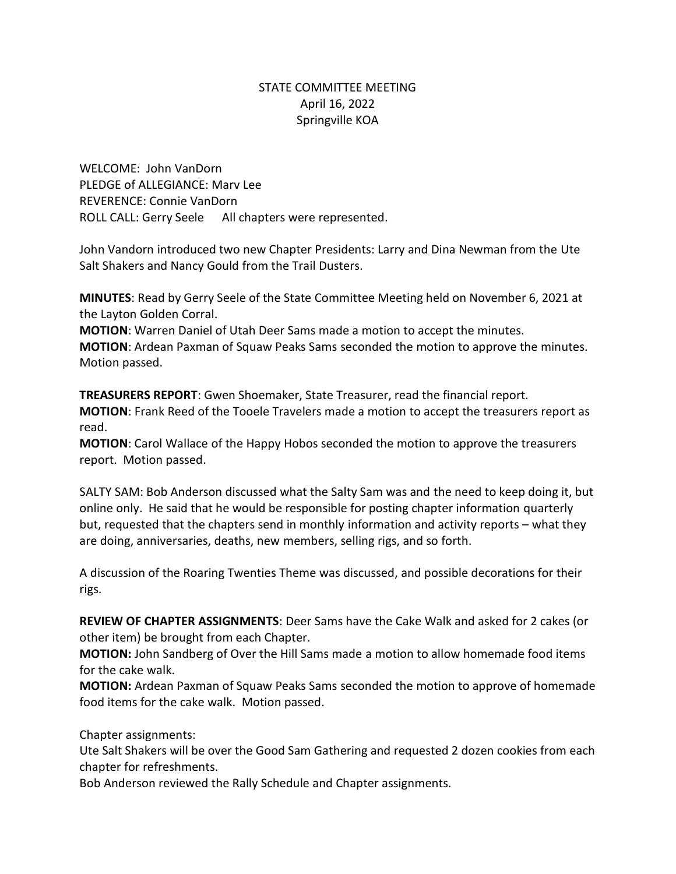## STATE COMMITTEE MEETING April 16, 2022 Springville KOA

WELCOME: John VanDorn PLEDGE of ALLEGIANCE: Marv Lee REVERENCE: Connie VanDorn ROLL CALL: Gerry Seele All chapters were represented.

John Vandorn introduced two new Chapter Presidents: Larry and Dina Newman from the Ute Salt Shakers and Nancy Gould from the Trail Dusters.

**MINUTES**: Read by Gerry Seele of the State Committee Meeting held on November 6, 2021 at the Layton Golden Corral.

**MOTION**: Warren Daniel of Utah Deer Sams made a motion to accept the minutes.

**MOTION**: Ardean Paxman of Squaw Peaks Sams seconded the motion to approve the minutes. Motion passed.

**TREASURERS REPORT**: Gwen Shoemaker, State Treasurer, read the financial report. **MOTION**: Frank Reed of the Tooele Travelers made a motion to accept the treasurers report as read.

**MOTION**: Carol Wallace of the Happy Hobos seconded the motion to approve the treasurers report. Motion passed.

SALTY SAM: Bob Anderson discussed what the Salty Sam was and the need to keep doing it, but online only. He said that he would be responsible for posting chapter information quarterly but, requested that the chapters send in monthly information and activity reports – what they are doing, anniversaries, deaths, new members, selling rigs, and so forth.

A discussion of the Roaring Twenties Theme was discussed, and possible decorations for their rigs.

**REVIEW OF CHAPTER ASSIGNMENTS**: Deer Sams have the Cake Walk and asked for 2 cakes (or other item) be brought from each Chapter.

**MOTION:** John Sandberg of Over the Hill Sams made a motion to allow homemade food items for the cake walk.

**MOTION:** Ardean Paxman of Squaw Peaks Sams seconded the motion to approve of homemade food items for the cake walk. Motion passed.

Chapter assignments:

Ute Salt Shakers will be over the Good Sam Gathering and requested 2 dozen cookies from each chapter for refreshments.

Bob Anderson reviewed the Rally Schedule and Chapter assignments.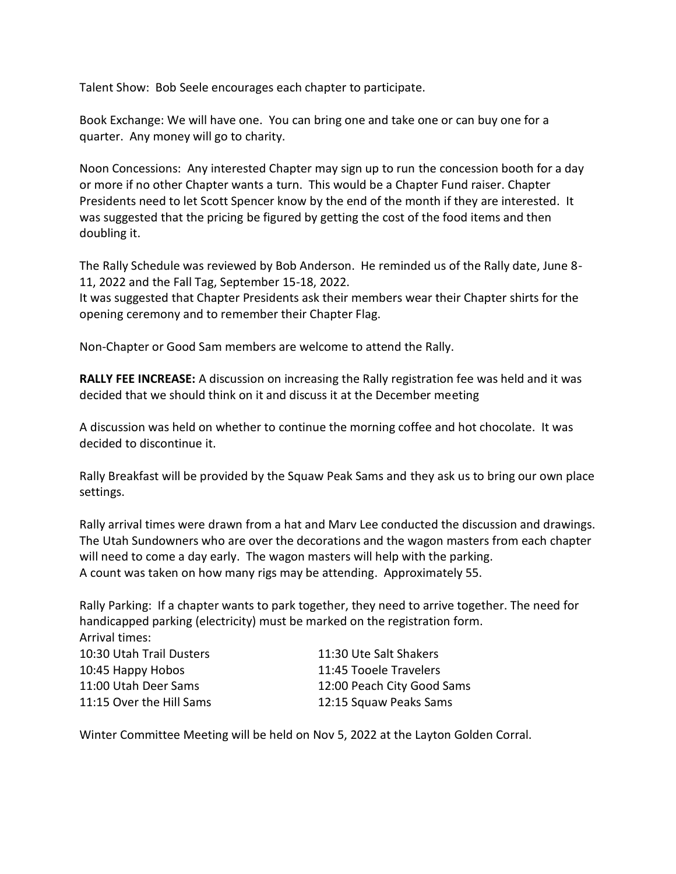Talent Show: Bob Seele encourages each chapter to participate.

Book Exchange: We will have one. You can bring one and take one or can buy one for a quarter. Any money will go to charity.

Noon Concessions: Any interested Chapter may sign up to run the concession booth for a day or more if no other Chapter wants a turn. This would be a Chapter Fund raiser. Chapter Presidents need to let Scott Spencer know by the end of the month if they are interested. It was suggested that the pricing be figured by getting the cost of the food items and then doubling it.

The Rally Schedule was reviewed by Bob Anderson. He reminded us of the Rally date, June 8- 11, 2022 and the Fall Tag, September 15-18, 2022.

It was suggested that Chapter Presidents ask their members wear their Chapter shirts for the opening ceremony and to remember their Chapter Flag.

Non-Chapter or Good Sam members are welcome to attend the Rally.

**RALLY FEE INCREASE:** A discussion on increasing the Rally registration fee was held and it was decided that we should think on it and discuss it at the December meeting

A discussion was held on whether to continue the morning coffee and hot chocolate. It was decided to discontinue it.

Rally Breakfast will be provided by the Squaw Peak Sams and they ask us to bring our own place settings.

Rally arrival times were drawn from a hat and Marv Lee conducted the discussion and drawings. The Utah Sundowners who are over the decorations and the wagon masters from each chapter will need to come a day early. The wagon masters will help with the parking. A count was taken on how many rigs may be attending. Approximately 55.

Rally Parking: If a chapter wants to park together, they need to arrive together. The need for handicapped parking (electricity) must be marked on the registration form. Arrival times:

| 10:30 Utah Trail Dusters | 11:30 Ute Salt Shakers     |
|--------------------------|----------------------------|
| 10:45 Happy Hobos        | 11:45 Tooele Travelers     |
| 11:00 Utah Deer Sams     | 12:00 Peach City Good Sams |
| 11:15 Over the Hill Sams | 12:15 Squaw Peaks Sams     |

Winter Committee Meeting will be held on Nov 5, 2022 at the Layton Golden Corral.